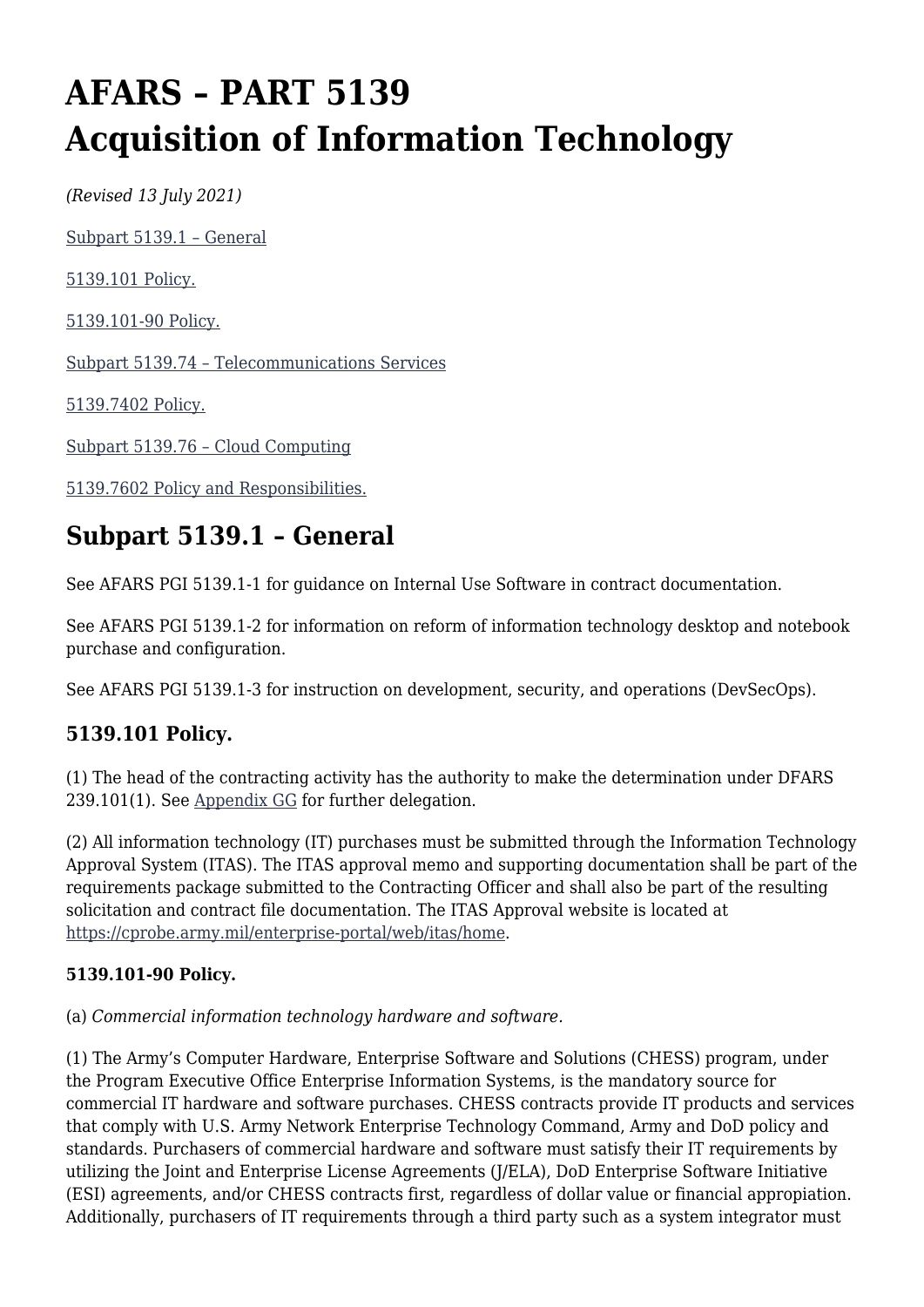# **AFARS – PART 5139 Acquisition of Information Technology**

*(Revised 13 July 2021)*

[Subpart 5139.1 – General](#page--1-0)

[5139.101 Policy.](#page--1-0)

[5139.101-90 Policy.](#page--1-0)

[Subpart 5139.74 – Telecommunications Services](#page--1-0)

[5139.7402 Policy.](#page--1-0)

[Subpart 5139.76 – Cloud Computing](#page--1-0)

[5139.7602 Policy and Responsibilities.](#page--1-0)

# **Subpart 5139.1 – General**

See AFARS PGI 5139.1-1 for guidance on Internal Use Software in contract documentation.

See AFARS PGI 5139.1-2 for information on reform of information technology desktop and notebook purchase and configuration.

See AFARS PGI 5139.1-3 for instruction on development, security, and operations (DevSecOps).

### **5139.101 Policy.**

(1) The head of the contracting activity has the authority to make the determination under DFARS 239.101(1). See [Appendix GG](https://spcs3.kc.army.mil/asaalt/procurement/AFARS/AFARS_AppGG.aspx) for further delegation.

(2) All information technology (IT) purchases must be submitted through the Information Technology Approval System (ITAS). The ITAS approval memo and supporting documentation shall be part of the requirements package submitted to the Contracting Officer and shall also be part of the resulting solicitation and contract file documentation. The ITAS Approval website is located at [https://cprobe.army.mil/enterprise-portal/web/itas/home.](https://cprobe.army.mil/enterprise-portal/web/itas/home)

#### **5139.101-90 Policy.**

(a) *Commercial information technology hardware and software.*

(1) The Army's Computer Hardware, Enterprise Software and Solutions (CHESS) program, under the Program Executive Office Enterprise Information Systems, is the mandatory source for commercial IT hardware and software purchases. CHESS contracts provide IT products and services that comply with U.S. Army Network Enterprise Technology Command, Army and DoD policy and standards. Purchasers of commercial hardware and software must satisfy their IT requirements by utilizing the Joint and Enterprise License Agreements (J/ELA), DoD Enterprise Software Initiative (ESI) agreements, and/or CHESS contracts first, regardless of dollar value or financial appropiation. Additionally, purchasers of IT requirements through a third party such as a system integrator must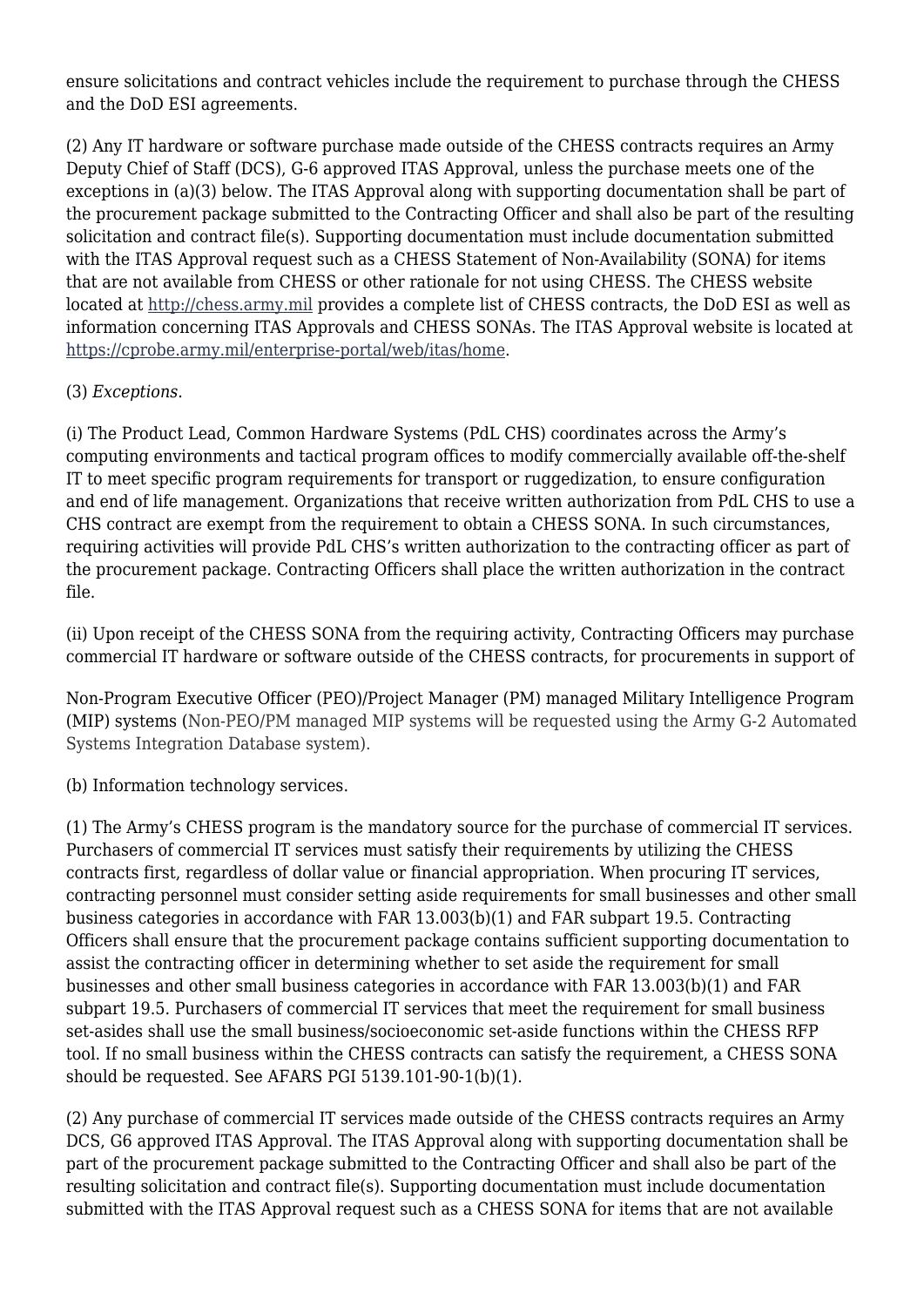ensure solicitations and contract vehicles include the requirement to purchase through the CHESS and the DoD ESI agreements.

(2) Any IT hardware or software purchase made outside of the CHESS contracts requires an Army Deputy Chief of Staff (DCS), G-6 approved ITAS Approval, unless the purchase meets one of the exceptions in (a)(3) below. The ITAS Approval along with supporting documentation shall be part of the procurement package submitted to the Contracting Officer and shall also be part of the resulting solicitation and contract file(s). Supporting documentation must include documentation submitted with the ITAS Approval request such as a CHESS Statement of Non-Availability (SONA) for items that are not available from CHESS or other rationale for not using CHESS. The CHESS website located at<http://chess.army.mil>provides a complete list of CHESS contracts, the DoD ESI as well as information concerning ITAS Approvals and CHESS SONAs. The ITAS Approval website is located at [https://cprobe.army.mil/enterprise-portal/web/itas/home.](https://cprobe.army.mil/enterprise-portal/web/itas/home)

#### (3) *Exceptions*.

(i) The Product Lead, Common Hardware Systems (PdL CHS) coordinates across the Army's computing environments and tactical program offices to modify commercially available off-the-shelf IT to meet specific program requirements for transport or ruggedization, to ensure configuration and end of life management. Organizations that receive written authorization from PdL CHS to use a CHS contract are exempt from the requirement to obtain a CHESS SONA. In such circumstances, requiring activities will provide PdL CHS's written authorization to the contracting officer as part of the procurement package. Contracting Officers shall place the written authorization in the contract file.

(ii) Upon receipt of the CHESS SONA from the requiring activity, Contracting Officers may purchase commercial IT hardware or software outside of the CHESS contracts, for procurements in support of

Non-Program Executive Officer (PEO)/Project Manager (PM) managed Military Intelligence Program (MIP) systems (Non-PEO/PM managed MIP systems will be requested using the Army G-2 Automated Systems Integration Database system).

(b) Information technology services.

(1) The Army's CHESS program is the mandatory source for the purchase of commercial IT services. Purchasers of commercial IT services must satisfy their requirements by utilizing the CHESS contracts first, regardless of dollar value or financial appropriation. When procuring IT services, contracting personnel must consider setting aside requirements for small businesses and other small business categories in accordance with FAR 13.003(b)(1) and FAR subpart 19.5. Contracting Officers shall ensure that the procurement package contains sufficient supporting documentation to assist the contracting officer in determining whether to set aside the requirement for small businesses and other small business categories in accordance with FAR 13.003(b)(1) and FAR subpart 19.5. Purchasers of commercial IT services that meet the requirement for small business set-asides shall use the small business/socioeconomic set-aside functions within the CHESS RFP tool. If no small business within the CHESS contracts can satisfy the requirement, a CHESS SONA should be requested. See AFARS PGI 5139.101-90-1(b)(1).

(2) Any purchase of commercial IT services made outside of the CHESS contracts requires an Army DCS, G6 approved ITAS Approval. The ITAS Approval along with supporting documentation shall be part of the procurement package submitted to the Contracting Officer and shall also be part of the resulting solicitation and contract file(s). Supporting documentation must include documentation submitted with the ITAS Approval request such as a CHESS SONA for items that are not available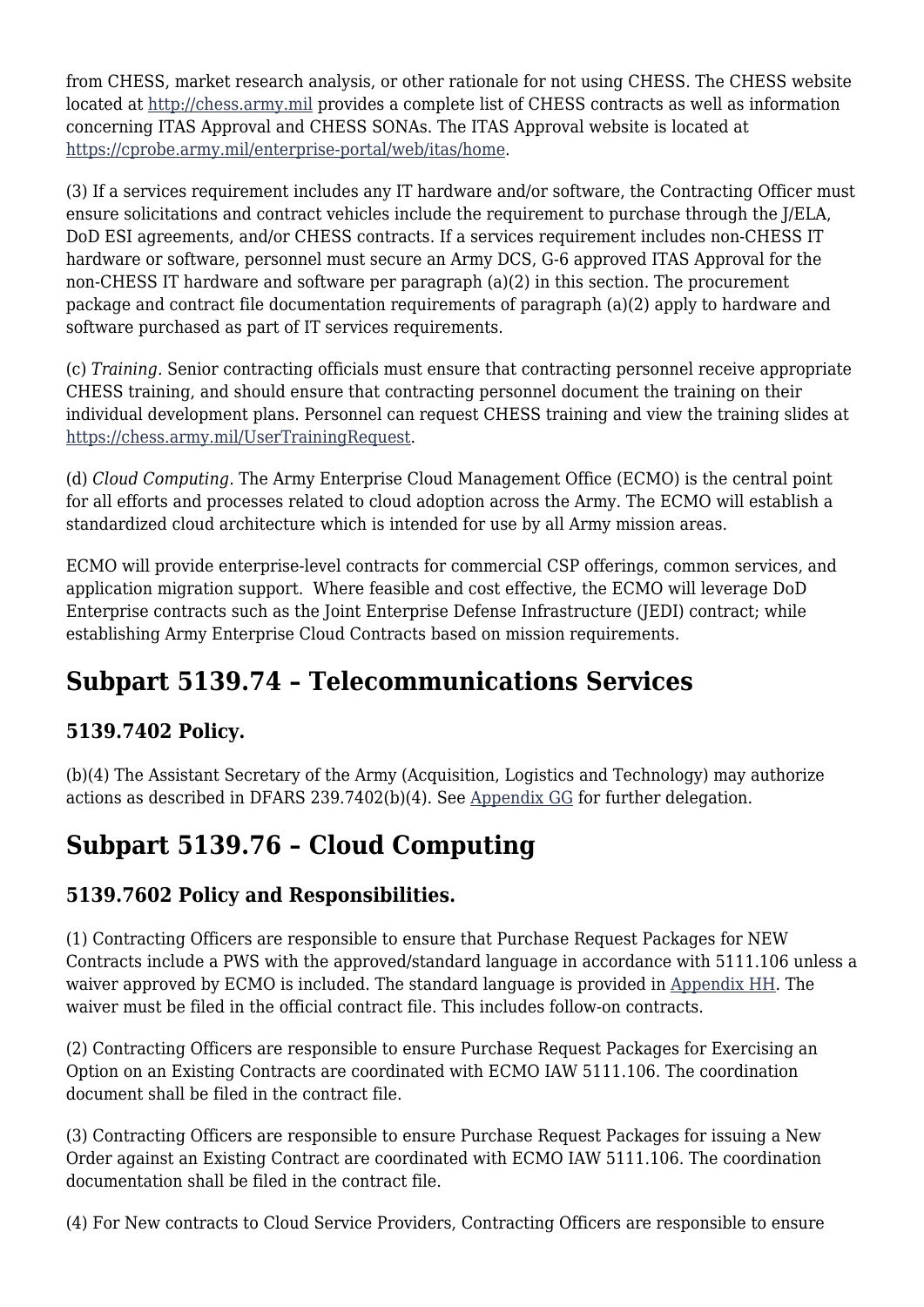from CHESS, market research analysis, or other rationale for not using CHESS. The CHESS website located at<http://chess.army.mil>provides a complete list of CHESS contracts as well as information concerning ITAS Approval and CHESS SONAs. The ITAS Approval website is located at [https://cprobe.army.mil/enterprise-portal/web/itas/home.](https://cprobe.army.mil/enterprise-portal/web/itas/home)

(3) If a services requirement includes any IT hardware and/or software, the Contracting Officer must ensure solicitations and contract vehicles include the requirement to purchase through the J/ELA, DoD ESI agreements, and/or CHESS contracts. If a services requirement includes non-CHESS IT hardware or software, personnel must secure an Army DCS, G-6 approved ITAS Approval for the non-CHESS IT hardware and software per paragraph (a)(2) in this section. The procurement package and contract file documentation requirements of paragraph (a)(2) apply to hardware and software purchased as part of IT services requirements.

(c) *Training.* Senior contracting officials must ensure that contracting personnel receive appropriate CHESS training, and should ensure that contracting personnel document the training on their individual development plans. Personnel can request CHESS training and view the training slides at [https://chess.army.mil/UserTrainingRequest.](https://chess.army.mil/UserTrainingRequest)

(d) *Cloud Computing*. The Army Enterprise Cloud Management Office (ECMO) is the central point for all efforts and processes related to cloud adoption across the Army. The ECMO will establish a standardized cloud architecture which is intended for use by all Army mission areas.

ECMO will provide enterprise-level contracts for commercial CSP offerings, common services, and application migration support. Where feasible and cost effective, the ECMO will leverage DoD Enterprise contracts such as the Joint Enterprise Defense Infrastructure (JEDI) contract; while establishing Army Enterprise Cloud Contracts based on mission requirements.

# **Subpart 5139.74 – Telecommunications Services**

### **5139.7402 Policy.**

(b)(4) The Assistant Secretary of the Army (Acquisition, Logistics and Technology) may authorize actions as described in DFARS 239.7402(b)(4). See [Appendix GG](https://spcs3.kc.army.mil/asaalt/procurement/AFARS/AFARS_AppGG.aspx) for further delegation.

# **Subpart 5139.76 – Cloud Computing**

### **5139.7602 Policy and Responsibilities.**

(1) Contracting Officers are responsible to ensure that Purchase Request Packages for NEW Contracts include a PWS with the approved/standard language in accordance with 5111.106 unless a waiver approved by ECMO is included. The standard language is provided in [Appendix HH.](https://spcs3.kc.army.mil/asaalt/procurement/AFARS/AFARSAppendices.aspx) The waiver must be filed in the official contract file. This includes follow-on contracts.

(2) Contracting Officers are responsible to ensure Purchase Request Packages for Exercising an Option on an Existing Contracts are coordinated with ECMO IAW 5111.106. The coordination document shall be filed in the contract file.

(3) Contracting Officers are responsible to ensure Purchase Request Packages for issuing a New Order against an Existing Contract are coordinated with ECMO IAW 5111.106. The coordination documentation shall be filed in the contract file.

(4) For New contracts to Cloud Service Providers, Contracting Officers are responsible to ensure